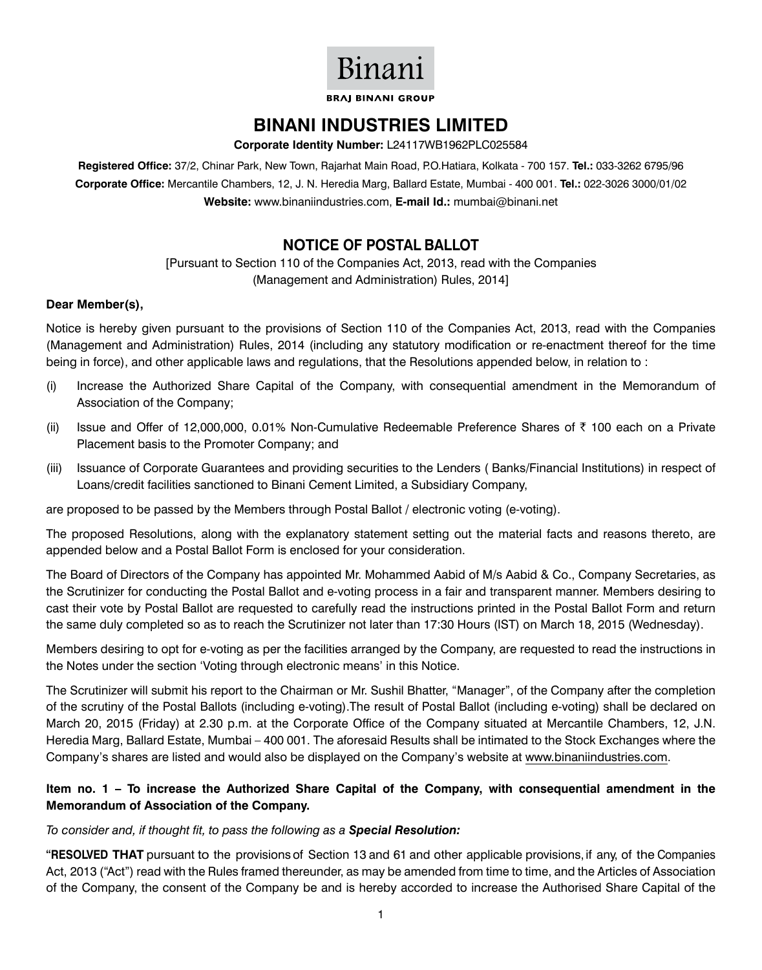# Binani

**BRAI BINANI GROUP** 

### **BINANI INDUSTRIES LIMITED**

**Corporate Identity Number:** L24117WB1962PLC025584

**Registered Office:** 37/2, Chinar Park, New Town, Rajarhat Main Road, P.O.Hatiara, Kolkata - 700 157. **Tel.:** 033-3262 6795/96 **Corporate Office:** Mercantile Chambers, 12, J. N. Heredia Marg, Ballard Estate, Mumbai - 400 001. **Tel.:** 022-3026 3000/01/02 **Website:** www.binaniindustries.com, **E-mail Id.:** mumbai@binani.net

### **Notice OF Postal Ballot**

[Pursuant to Section 110 of the Companies Act, 2013, read with the Companies (Management and Administration) Rules, 2014]

#### **Dear Member(s),**

Notice is hereby given pursuant to the provisions of Section 110 of the Companies Act, 2013, read with the Companies (Management and Administration) Rules, 2014 (including any statutory modification or re-enactment thereof for the time being in force), and other applicable laws and regulations, that the Resolutions appended below, in relation to :

- (i) Increase the Authorized Share Capital of the Company, with consequential amendment in the Memorandum of Association of the Company;
- (ii) Issue and Offer of 12,000,000, 0.01% Non-Cumulative Redeemable Preference Shares of  $\bar{\tau}$  100 each on a Private Placement basis to the Promoter Company; and
- (iii) Issuance of Corporate Guarantees and providing securities to the Lenders ( Banks/Financial Institutions) in respect of Loans/credit facilities sanctioned to Binani Cement Limited, a Subsidiary Company,

are proposed to be passed by the Members through Postal Ballot / electronic voting (e-voting).

The proposed Resolutions, along with the explanatory statement setting out the material facts and reasons thereto, are appended below and a Postal Ballot Form is enclosed for your consideration.

The Board of Directors of the Company has appointed Mr. Mohammed Aabid of M/s Aabid & Co., Company Secretaries, as the Scrutinizer for conducting the Postal Ballot and e-voting process in a fair and transparent manner. Members desiring to cast their vote by Postal Ballot are requested to carefully read the instructions printed in the Postal Ballot Form and return the same duly completed so as to reach the Scrutinizer not later than 17:30 Hours (IST) on March 18, 2015 (Wednesday).

Members desiring to opt for e-voting as per the facilities arranged by the Company, are requested to read the instructions in the Notes under the section 'Voting through electronic means' in this Notice.

The Scrutinizer will submit his report to the Chairman or Mr. Sushil Bhatter, "Manager", of the Company after the completion of the scrutiny of the Postal Ballots (including e-voting).The result of Postal Ballot (including e-voting) shall be declared on March 20, 2015 (Friday) at 2.30 p.m. at the Corporate Office of the Company situated at Mercantile Chambers, 12, J.N. Heredia Marg, Ballard Estate, Mumbai – 400 001. The aforesaid Results shall be intimated to the Stock Exchanges where the Company's shares are listed and would also be displayed on the Company's website at www.binaniindustries.com.

#### **Item no. 1 – To increase the Authorized Share Capital of the Company, with consequential amendment in the Memorandum of Association of the Company.**

#### *To consider and, if thought fit, to pass the following as a Special Resolution:*

**"RESOLVED THAT** pursuant to the provisions of Section 13 and 61 and other applicable provisions,if any, of the Companies Act, 2013 ("Act") read with the Rules framed thereunder, as may be amended from time to time, and the Articles of Association of the Company, the consent of the Company be and is hereby accorded to increase the Authorised Share Capital of the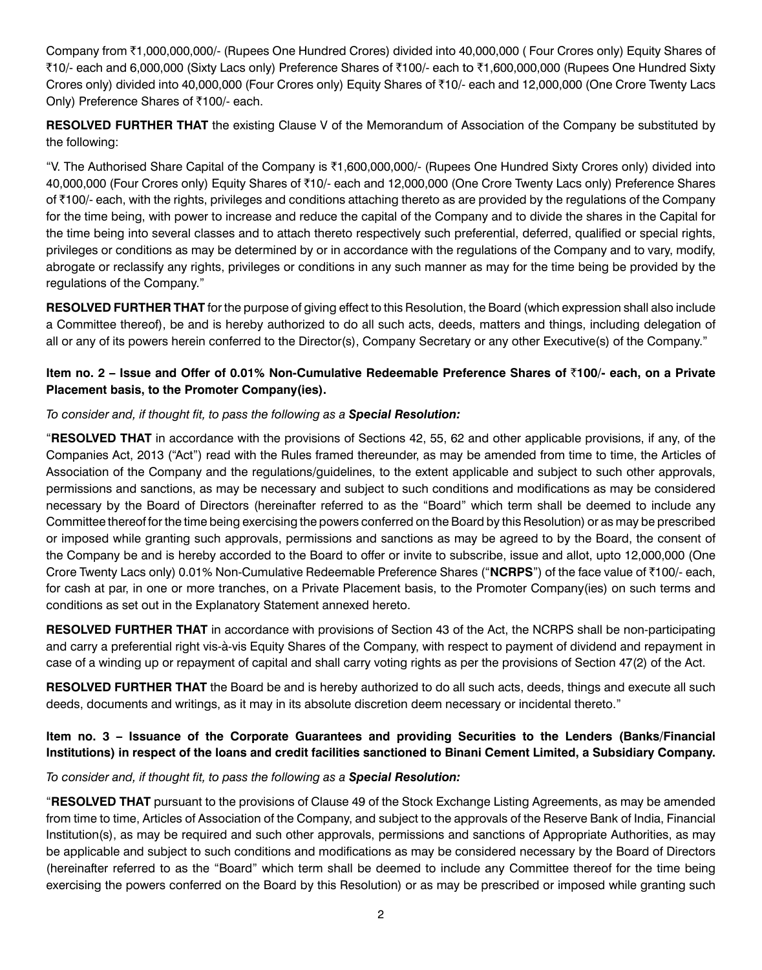Company from `1,000,000,000/- (Rupees One Hundred Crores) divided into 40,000,000 ( Four Crores only) Equity Shares of `10/- each and 6,000,000 (Sixty Lacs only) Preference Shares of `100/- each to `1,600,000,000 (Rupees One Hundred Sixty Crores only) divided into 40,000,000 (Four Crores only) Equity Shares of `10/- each and 12,000,000 (One Crore Twenty Lacs Only) Preference Shares of ₹100/- each.

**RESOLVED FURTHER THAT** the existing Clause V of the Memorandum of Association of the Company be substituted by the following:

"V. The Authorised Share Capital of the Company is  $\bar{z}$ 1,600,000,000/- (Rupees One Hundred Sixty Crores only) divided into 40,000,000 (Four Crores only) Equity Shares of `10/- each and 12,000,000 (One Crore Twenty Lacs only) Preference Shares of `100/- each, with the rights, privileges and conditions attaching thereto as are provided by the regulations of the Company for the time being, with power to increase and reduce the capital of the Company and to divide the shares in the Capital for the time being into several classes and to attach thereto respectively such preferential, deferred, qualified or special rights, privileges or conditions as may be determined by or in accordance with the regulations of the Company and to vary, modify, abrogate or reclassify any rights, privileges or conditions in any such manner as may for the time being be provided by the regulations of the Company."

**RESOLVED FURTHER THAT** for the purpose of giving effect to this Resolution, the Board (which expression shall also include a Committee thereof), be and is hereby authorized to do all such acts, deeds, matters and things, including delegation of all or any of its powers herein conferred to the Director(s), Company Secretary or any other Executive(s) of the Company."

#### **Item no. 2 – Issue and Offer of 0.01% Non-Cumulative Redeemable Preference Shares of** `**100/- each, on a Private Placement basis, to the Promoter Company(ies).**

#### *To consider and, if thought fit, to pass the following as a Special Resolution:*

"**RESOLVED THAT** in accordance with the provisions of Sections 42, 55, 62 and other applicable provisions, if any, of the Companies Act, 2013 ("Act") read with the Rules framed thereunder, as may be amended from time to time, the Articles of Association of the Company and the regulations/guidelines, to the extent applicable and subject to such other approvals, permissions and sanctions, as may be necessary and subject to such conditions and modifications as may be considered necessary by the Board of Directors (hereinafter referred to as the "Board" which term shall be deemed to include any Committee thereof for the time being exercising the powers conferred on the Board by this Resolution) or as may be prescribed or imposed while granting such approvals, permissions and sanctions as may be agreed to by the Board, the consent of the Company be and is hereby accorded to the Board to offer or invite to subscribe, issue and allot, upto 12,000,000 (One Crore Twenty Lacs only) 0.01% Non-Cumulative Redeemable Preference Shares ("**NCRPS**") of the face value of `100/- each, for cash at par, in one or more tranches, on a Private Placement basis, to the Promoter Company(ies) on such terms and conditions as set out in the Explanatory Statement annexed hereto.

**RESOLVED FURTHER THAT** in accordance with provisions of Section 43 of the Act, the NCRPS shall be non-participating and carry a preferential right vis-à-vis Equity Shares of the Company, with respect to payment of dividend and repayment in case of a winding up or repayment of capital and shall carry voting rights as per the provisions of Section 47(2) of the Act.

**RESOLVED FURTHER THAT** the Board be and is hereby authorized to do all such acts, deeds, things and execute all such deeds, documents and writings, as it may in its absolute discretion deem necessary or incidental thereto."

#### **Item no. 3 – Issuance of the Corporate Guarantees and providing Securities to the Lenders (Banks/Financial Institutions) in respect of the loans and credit facilities sanctioned to Binani Cement Limited, a Subsidiary Company.**

#### *To consider and, if thought fit, to pass the following as a Special Resolution:*

"**RESOLVED THAT** pursuant to the provisions of Clause 49 of the Stock Exchange Listing Agreements, as may be amended from time to time, Articles of Association of the Company, and subject to the approvals of the Reserve Bank of India, Financial Institution(s), as may be required and such other approvals, permissions and sanctions of Appropriate Authorities, as may be applicable and subject to such conditions and modifications as may be considered necessary by the Board of Directors (hereinafter referred to as the "Board" which term shall be deemed to include any Committee thereof for the time being exercising the powers conferred on the Board by this Resolution) or as may be prescribed or imposed while granting such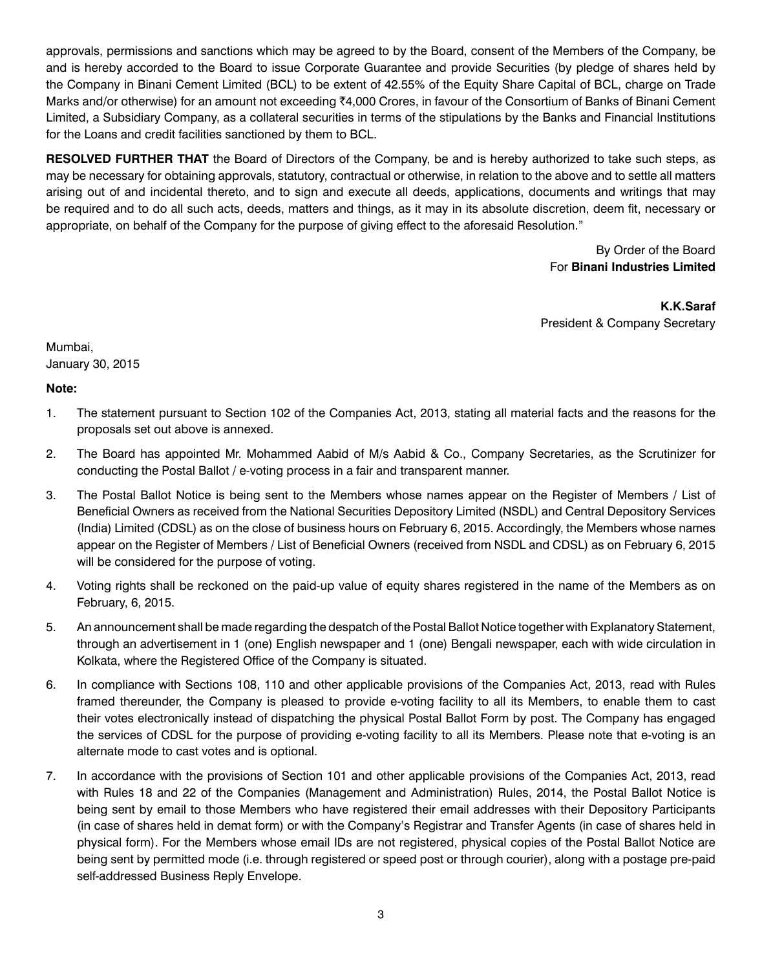approvals, permissions and sanctions which may be agreed to by the Board, consent of the Members of the Company, be and is hereby accorded to the Board to issue Corporate Guarantee and provide Securities (by pledge of shares held by the Company in Binani Cement Limited (BCL) to be extent of 42.55% of the Equity Share Capital of BCL, charge on Trade Marks and/or otherwise) for an amount not exceeding ₹4,000 Crores, in favour of the Consortium of Banks of Binani Cement Limited, a Subsidiary Company, as a collateral securities in terms of the stipulations by the Banks and Financial Institutions for the Loans and credit facilities sanctioned by them to BCL.

**RESOLVED FURTHER THAT** the Board of Directors of the Company, be and is hereby authorized to take such steps, as may be necessary for obtaining approvals, statutory, contractual or otherwise, in relation to the above and to settle all matters arising out of and incidental thereto, and to sign and execute all deeds, applications, documents and writings that may be required and to do all such acts, deeds, matters and things, as it may in its absolute discretion, deem fit, necessary or appropriate, on behalf of the Company for the purpose of giving effect to the aforesaid Resolution."

> By Order of the Board For **Binani Industries Limited**

**K.K.Saraf** President & Company Secretary

Mumbai, January 30, 2015

**Note:**

- 1. The statement pursuant to Section 102 of the Companies Act, 2013, stating all material facts and the reasons for the proposals set out above is annexed.
- 2. The Board has appointed Mr. Mohammed Aabid of M/s Aabid & Co., Company Secretaries, as the Scrutinizer for conducting the Postal Ballot / e-voting process in a fair and transparent manner.
- 3. The Postal Ballot Notice is being sent to the Members whose names appear on the Register of Members / List of Beneficial Owners as received from the National Securities Depository Limited (NSDL) and Central Depository Services (India) Limited (CDSL) as on the close of business hours on February 6, 2015. Accordingly, the Members whose names appear on the Register of Members / List of Beneficial Owners (received from NSDL and CDSL) as on February 6, 2015 will be considered for the purpose of voting.
- 4. Voting rights shall be reckoned on the paid-up value of equity shares registered in the name of the Members as on February, 6, 2015.
- 5. An announcement shall be made regarding the despatch of the Postal Ballot Notice together with Explanatory Statement, through an advertisement in 1 (one) English newspaper and 1 (one) Bengali newspaper, each with wide circulation in Kolkata, where the Registered Office of the Company is situated.
- 6. In compliance with Sections 108, 110 and other applicable provisions of the Companies Act, 2013, read with Rules framed thereunder, the Company is pleased to provide e-voting facility to all its Members, to enable them to cast their votes electronically instead of dispatching the physical Postal Ballot Form by post. The Company has engaged the services of CDSL for the purpose of providing e-voting facility to all its Members. Please note that e-voting is an alternate mode to cast votes and is optional.
- 7. In accordance with the provisions of Section 101 and other applicable provisions of the Companies Act, 2013, read with Rules 18 and 22 of the Companies (Management and Administration) Rules, 2014, the Postal Ballot Notice is being sent by email to those Members who have registered their email addresses with their Depository Participants (in case of shares held in demat form) or with the Company's Registrar and Transfer Agents (in case of shares held in physical form). For the Members whose email IDs are not registered, physical copies of the Postal Ballot Notice are being sent by permitted mode (i.e. through registered or speed post or through courier), along with a postage pre-paid self-addressed Business Reply Envelope.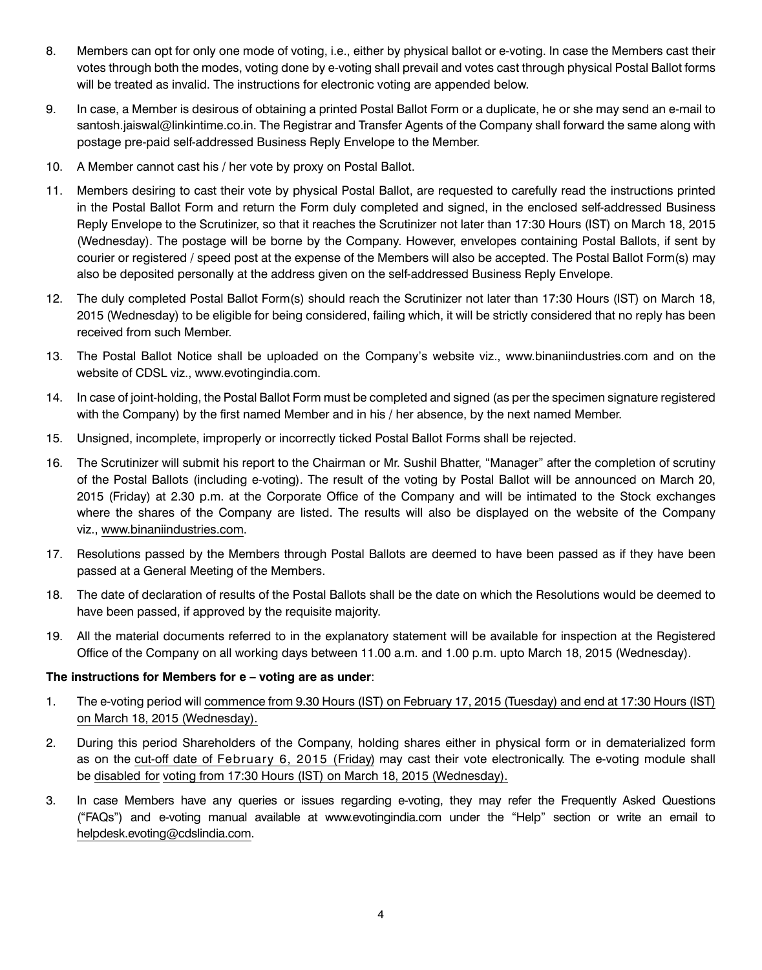- 8. Members can opt for only one mode of voting, i.e., either by physical ballot or e-voting. In case the Members cast their votes through both the modes, voting done by e-voting shall prevail and votes cast through physical Postal Ballot forms will be treated as invalid. The instructions for electronic voting are appended below.
- 9. In case, a Member is desirous of obtaining a printed Postal Ballot Form or a duplicate, he or she may send an e-mail to santosh.jaiswal@linkintime.co.in. The Registrar and Transfer Agents of the Company shall forward the same along with postage pre-paid self-addressed Business Reply Envelope to the Member.
- 10. A Member cannot cast his / her vote by proxy on Postal Ballot.
- 11. Members desiring to cast their vote by physical Postal Ballot, are requested to carefully read the instructions printed in the Postal Ballot Form and return the Form duly completed and signed, in the enclosed self-addressed Business Reply Envelope to the Scrutinizer, so that it reaches the Scrutinizer not later than 17:30 Hours (IST) on March 18, 2015 (Wednesday). The postage will be borne by the Company. However, envelopes containing Postal Ballots, if sent by courier or registered / speed post at the expense of the Members will also be accepted. The Postal Ballot Form(s) may also be deposited personally at the address given on the self-addressed Business Reply Envelope.
- 12. The duly completed Postal Ballot Form(s) should reach the Scrutinizer not later than 17:30 Hours (IST) on March 18, 2015 (Wednesday) to be eligible for being considered, failing which, it will be strictly considered that no reply has been received from such Member.
- 13. The Postal Ballot Notice shall be uploaded on the Company's website viz., www.binaniindustries.com and on the website of CDSL viz., www.evotingindia.com.
- 14. In case of joint-holding, the Postal Ballot Form must be completed and signed (as per the specimen signature registered with the Company) by the first named Member and in his / her absence, by the next named Member.
- 15. Unsigned, incomplete, improperly or incorrectly ticked Postal Ballot Forms shall be rejected.
- 16. The Scrutinizer will submit his report to the Chairman or Mr. Sushil Bhatter, "Manager" after the completion of scrutiny of the Postal Ballots (including e-voting). The result of the voting by Postal Ballot will be announced on March 20, 2015 (Friday) at 2.30 p.m. at the Corporate Office of the Company and will be intimated to the Stock exchanges where the shares of the Company are listed. The results will also be displayed on the website of the Company viz., www.binaniindustries.com.
- 17. Resolutions passed by the Members through Postal Ballots are deemed to have been passed as if they have been passed at a General Meeting of the Members.
- 18. The date of declaration of results of the Postal Ballots shall be the date on which the Resolutions would be deemed to have been passed, if approved by the requisite majority.
- 19. All the material documents referred to in the explanatory statement will be available for inspection at the Registered Office of the Company on all working days between 11.00 a.m. and 1.00 p.m. upto March 18, 2015 (Wednesday).

#### **The instructions for Members for e – voting are as under**:

- 1. The e-voting period will commence from 9.30 Hours (IST) on February 17, 2015 (Tuesday) and end at 17:30 Hours (IST) on March 18, 2015 (Wednesday).
- 2. During this period Shareholders of the Company, holding shares either in physical form or in dematerialized form as on the cut-off date of February 6, 2015 (Friday) may cast their vote electronically. The e-voting module shall be disabled for voting from 17:30 Hours (IST) on March 18, 2015 (Wednesday).
- 3. In case Members have any queries or issues regarding e-voting, they may refer the Frequently Asked Questions ("FAQs") and e-voting manual available at www.evotingindia.com under the "Help" section or write an email to helpdesk.evoting@cdslindia.com.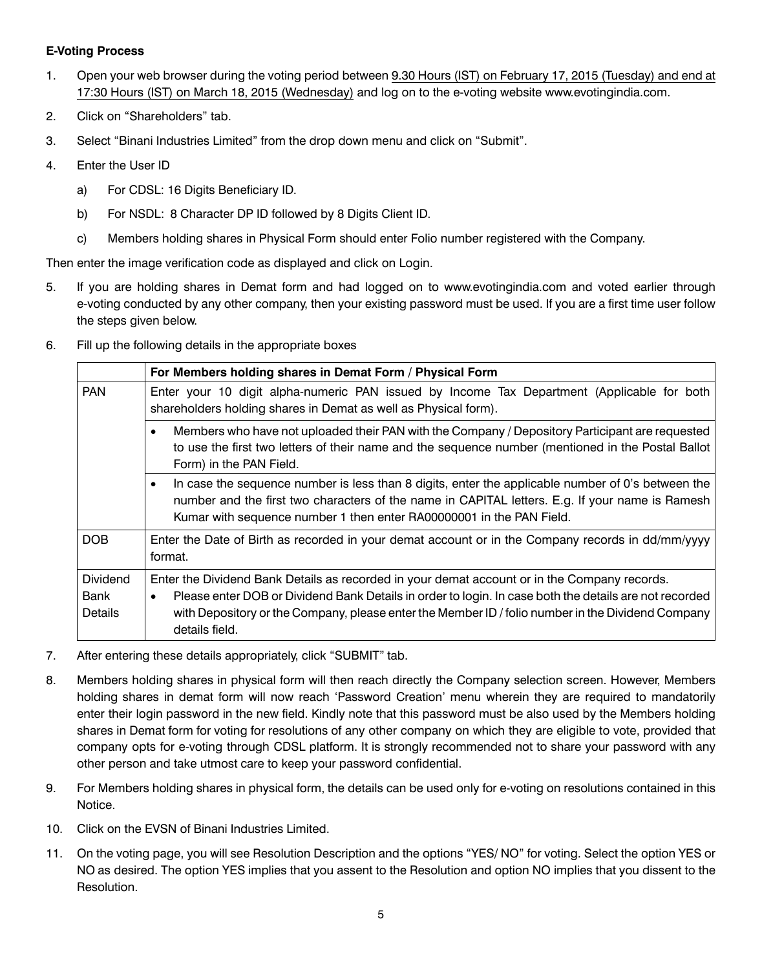#### **E-Voting Process**

- 1. Open your web browser during the voting period between 9.30 Hours (IST) on February 17, 2015 (Tuesday) and end at 17:30 Hours (IST) on March 18, 2015 (Wednesday) and log on to the e-voting website www.evotingindia.com.
- 2. Click on "Shareholders" tab.
- 3. Select "Binani Industries Limited" from the drop down menu and click on "Submit".
- 4. Enter the User ID
	- a) For CDSL: 16 Digits Beneficiary ID.
	- b) For NSDL: 8 Character DP ID followed by 8 Digits Client ID.
	- c) Members holding shares in Physical Form should enter Folio number registered with the Company.

Then enter the image verification code as displayed and click on Login.

- 5. If you are holding shares in Demat form and had logged on to www.evotingindia.com and voted earlier through e-voting conducted by any other company, then your existing password must be used. If you are a first time user follow the steps given below.
- 6. Fill up the following details in the appropriate boxes

|                                           | For Members holding shares in Demat Form / Physical Form                                                                                                                                                                                                                                                                                   |  |  |  |
|-------------------------------------------|--------------------------------------------------------------------------------------------------------------------------------------------------------------------------------------------------------------------------------------------------------------------------------------------------------------------------------------------|--|--|--|
| <b>PAN</b>                                | Enter your 10 digit alpha-numeric PAN issued by Income Tax Department (Applicable for both<br>shareholders holding shares in Demat as well as Physical form).                                                                                                                                                                              |  |  |  |
|                                           | Members who have not uploaded their PAN with the Company / Depository Participant are requested<br>to use the first two letters of their name and the sequence number (mentioned in the Postal Ballot<br>Form) in the PAN Field.                                                                                                           |  |  |  |
|                                           | In case the sequence number is less than 8 digits, enter the applicable number of 0's between the<br>number and the first two characters of the name in CAPITAL letters. E.g. If your name is Ramesh<br>Kumar with sequence number 1 then enter RA00000001 in the PAN Field.                                                               |  |  |  |
| <b>DOB</b>                                | Enter the Date of Birth as recorded in your demat account or in the Company records in dd/mm/yyyy<br>format.                                                                                                                                                                                                                               |  |  |  |
| <b>Dividend</b><br>Bank<br><b>Details</b> | Enter the Dividend Bank Details as recorded in your demat account or in the Company records.<br>Please enter DOB or Dividend Bank Details in order to login. In case both the details are not recorded<br>$\bullet$<br>with Depository or the Company, please enter the Member ID / folio number in the Dividend Company<br>details field. |  |  |  |

- 7. After entering these details appropriately, click "SUBMIT" tab.
- 8. Members holding shares in physical form will then reach directly the Company selection screen. However, Members holding shares in demat form will now reach 'Password Creation' menu wherein they are required to mandatorily enter their login password in the new field. Kindly note that this password must be also used by the Members holding shares in Demat form for voting for resolutions of any other company on which they are eligible to vote, provided that company opts for e-voting through CDSL platform. It is strongly recommended not to share your password with any other person and take utmost care to keep your password confidential.
- 9. For Members holding shares in physical form, the details can be used only for e-voting on resolutions contained in this Notice.
- 10. Click on the EVSN of Binani Industries Limited.
- 11. On the voting page, you will see Resolution Description and the options "YES/ NO" for voting. Select the option YES or NO as desired. The option YES implies that you assent to the Resolution and option NO implies that you dissent to the Resolution.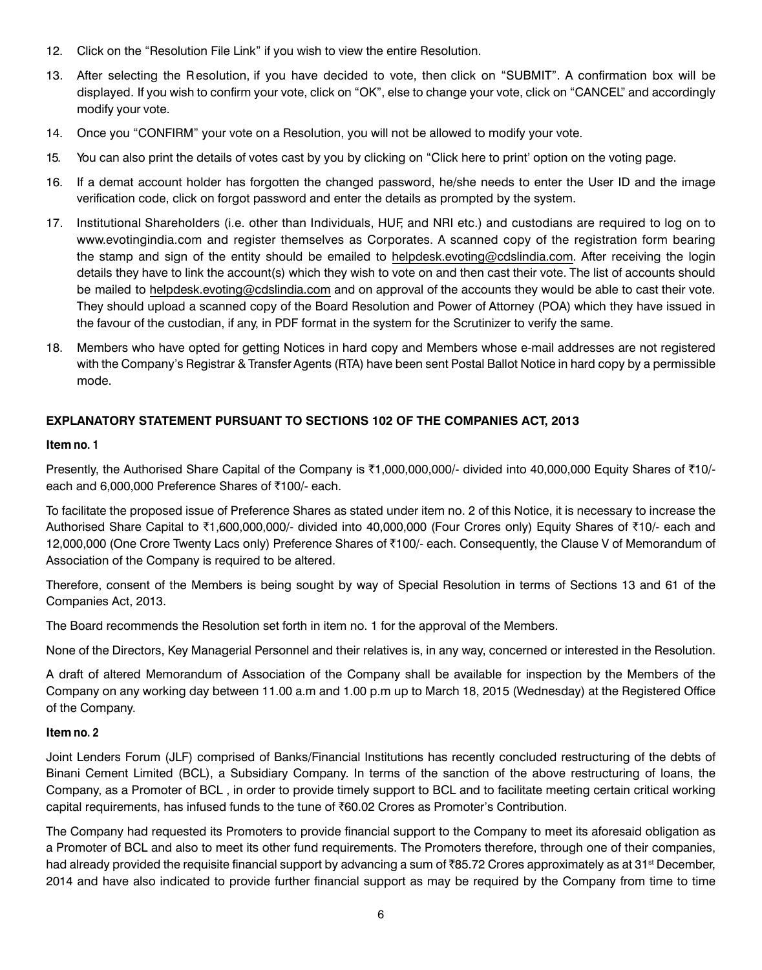- 12. Click on the "Resolution File Link" if you wish to view the entire Resolution.
- 13. After selecting the Resolution, if you have decided to vote, then click on "SUBMIT". A confirmation box will be displayed. If you wish to confirm your vote, click on "OK", else to change your vote, click on "CANCEL" and accordingly modify your vote.
- 14. Once you "CONFIRM" your vote on a Resolution, you will not be allowed to modify your vote.
- 15. You can also print the details of votes cast by you by clicking on "Click here to print' option on the voting page.
- 16. If a demat account holder has forgotten the changed password, he/she needs to enter the User ID and the image verification code, click on forgot password and enter the details as prompted by the system.
- 17. Institutional Shareholders (i.e. other than Individuals, HUF, and NRI etc.) and custodians are required to log on to www.evotingindia.com and register themselves as Corporates. A scanned copy of the registration form bearing the stamp and sign of the entity should be emailed to helpdesk.evoting@cdslindia.com. After receiving the login details they have to link the account(s) which they wish to vote on and then cast their vote. The list of accounts should be mailed to helpdesk.evoting@cdslindia.com and on approval of the accounts they would be able to cast their vote. They should upload a scanned copy of the Board Resolution and Power of Attorney (POA) which they have issued in the favour of the custodian, if any, in PDF format in the system for the Scrutinizer to verify the same.
- 18. Members who have opted for getting Notices in hard copy and Members whose e-mail addresses are not registered with the Company's Registrar & Transfer Agents (RTA) have been sent Postal Ballot Notice in hard copy by a permissible mode.

#### **Explanatory Statement pursuant to Sections 102 of the Companies Act, 2013**

#### **Item no. 1**

Presently, the Authorised Share Capital of the Company is  $\bar{z}1,000,000,000/$ - divided into 40,000,000 Equity Shares of  $\bar{z}10/$ each and 6,000,000 Preference Shares of ₹100/- each.

To facilitate the proposed issue of Preference Shares as stated under item no. 2 of this Notice, it is necessary to increase the Authorised Share Capital to ₹1,600,000,000/- divided into 40,000,000 (Four Crores only) Equity Shares of ₹10/- each and 12,000,000 (One Crore Twenty Lacs only) Preference Shares of ₹100/- each. Consequently, the Clause V of Memorandum of Association of the Company is required to be altered.

Therefore, consent of the Members is being sought by way of Special Resolution in terms of Sections 13 and 61 of the Companies Act, 2013.

The Board recommends the Resolution set forth in item no. 1 for the approval of the Members.

None of the Directors, Key Managerial Personnel and their relatives is, in any way, concerned or interested in the Resolution.

A draft of altered Memorandum of Association of the Company shall be available for inspection by the Members of the Company on any working day between 11.00 a.m and 1.00 p.m up to March 18, 2015 (Wednesday) at the Registered Office of the Company.

#### **Item no. 2**

Joint Lenders Forum (JLF) comprised of Banks/Financial Institutions has recently concluded restructuring of the debts of Binani Cement Limited (BCL), a Subsidiary Company. In terms of the sanction of the above restructuring of loans, the Company, as a Promoter of BCL , in order to provide timely support to BCL and to facilitate meeting certain critical working capital requirements, has infused funds to the tune of ₹60.02 Crores as Promoter's Contribution.

The Company had requested its Promoters to provide financial support to the Company to meet its aforesaid obligation as a Promoter of BCL and also to meet its other fund requirements. The Promoters therefore, through one of their companies, had already provided the requisite financial support by advancing a sum of  $\bar{\zeta}$ 85.72 Crores approximately as at 31<sup>st</sup> December, 2014 and have also indicated to provide further financial support as may be required by the Company from time to time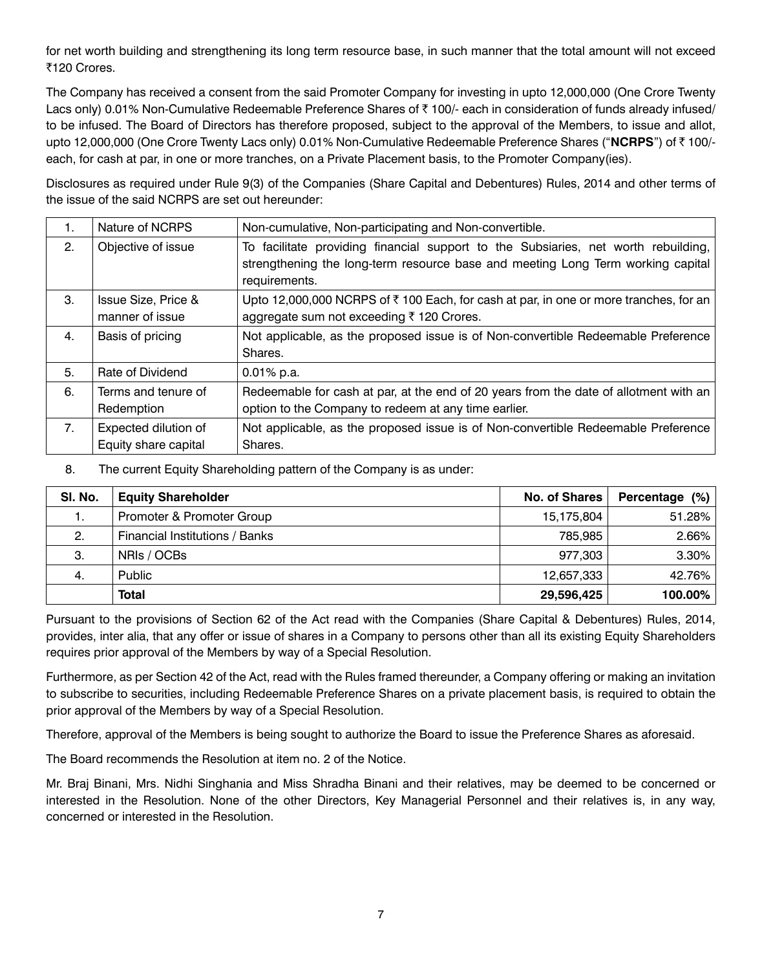for net worth building and strengthening its long term resource base, in such manner that the total amount will not exceed ₹120 Crores.

The Company has received a consent from the said Promoter Company for investing in upto 12,000,000 (One Crore Twenty Lacs only) 0.01% Non-Cumulative Redeemable Preference Shares of  $\bar{\tau}$  100/- each in consideration of funds already infused/ to be infused. The Board of Directors has therefore proposed, subject to the approval of the Members, to issue and allot, upto 12,000,000 (One Crore Twenty Lacs only) 0.01% Non-Cumulative Redeemable Preference Shares ("**NCRPS**") of ` 100/ each, for cash at par, in one or more tranches, on a Private Placement basis, to the Promoter Company(ies).

Disclosures as required under Rule 9(3) of the Companies (Share Capital and Debentures) Rules, 2014 and other terms of the issue of the said NCRPS are set out hereunder:

| 1.             | Nature of NCRPS                              | Non-cumulative, Non-participating and Non-convertible.                                                                                                                                 |
|----------------|----------------------------------------------|----------------------------------------------------------------------------------------------------------------------------------------------------------------------------------------|
| 2.             | Objective of issue                           | To facilitate providing financial support to the Subsiaries, net worth rebuilding,<br>strengthening the long-term resource base and meeting Long Term working capital<br>requirements. |
| 3.             | Issue Size, Price &<br>manner of issue       | Upto 12,000,000 NCRPS of ₹100 Each, for cash at par, in one or more tranches, for an<br>aggregate sum not exceeding ₹120 Crores.                                                       |
| 4.             | Basis of pricing                             | Not applicable, as the proposed issue is of Non-convertible Redeemable Preference<br>Shares.                                                                                           |
| 5.             | Rate of Dividend                             | $0.01\%$ p.a.                                                                                                                                                                          |
| 6.             | Terms and tenure of<br>Redemption            | Redeemable for cash at par, at the end of 20 years from the date of allotment with an<br>option to the Company to redeem at any time earlier.                                          |
| 7 <sub>1</sub> | Expected dilution of<br>Equity share capital | Not applicable, as the proposed issue is of Non-convertible Redeemable Preference<br>Shares.                                                                                           |

8. The current Equity Shareholding pattern of the Company is as under:

| SI. No. | <b>Equity Shareholder</b>      | <b>No. of Shares</b> | Percentage (%) |
|---------|--------------------------------|----------------------|----------------|
| 1.      | Promoter & Promoter Group      | 15,175,804           | 51.28%         |
| 2.      | Financial Institutions / Banks | 785,985              | $2.66\%$       |
| 3.      | NRIs / OCBs                    | 977.303              | $3.30\%$       |
| 4.      | <b>Public</b>                  | 12,657,333           | 42.76%         |
|         | <b>Total</b>                   | 29,596,425           | 100.00%        |

Pursuant to the provisions of Section 62 of the Act read with the Companies (Share Capital & Debentures) Rules, 2014, provides, inter alia, that any offer or issue of shares in a Company to persons other than all its existing Equity Shareholders requires prior approval of the Members by way of a Special Resolution.

Furthermore, as per Section 42 of the Act, read with the Rules framed thereunder, a Company offering or making an invitation to subscribe to securities, including Redeemable Preference Shares on a private placement basis, is required to obtain the prior approval of the Members by way of a Special Resolution.

Therefore, approval of the Members is being sought to authorize the Board to issue the Preference Shares as aforesaid.

The Board recommends the Resolution at item no. 2 of the Notice.

Mr. Braj Binani, Mrs. Nidhi Singhania and Miss Shradha Binani and their relatives, may be deemed to be concerned or interested in the Resolution. None of the other Directors, Key Managerial Personnel and their relatives is, in any way, concerned or interested in the Resolution.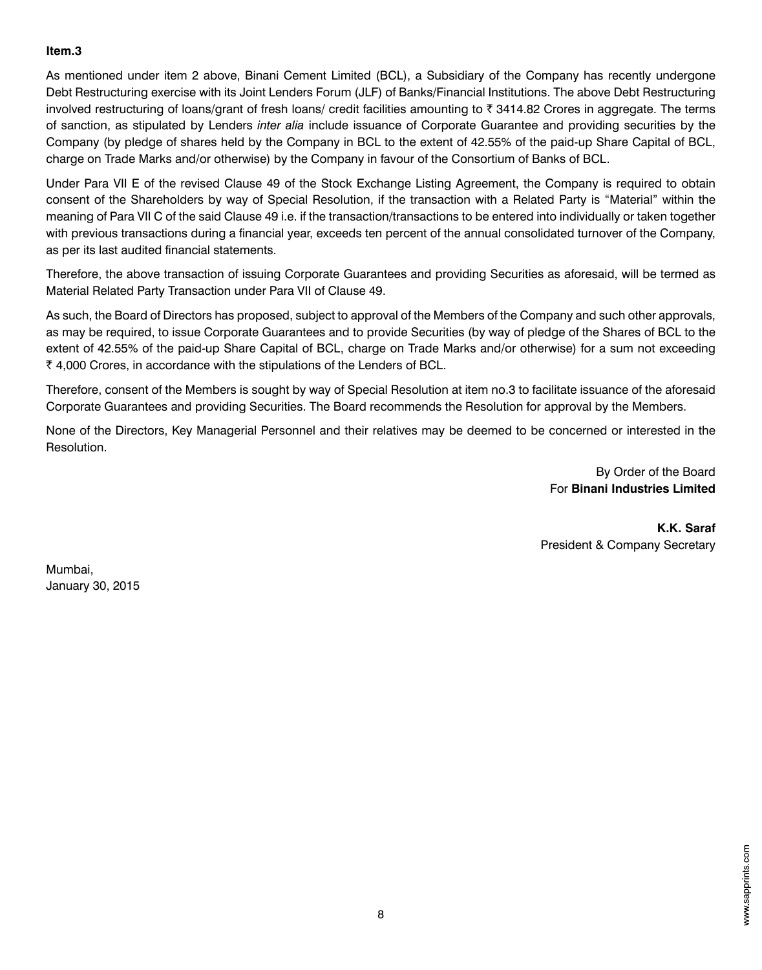#### **Item.3**

As mentioned under item 2 above, Binani Cement Limited (BCL), a Subsidiary of the Company has recently undergone Debt Restructuring exercise with its Joint Lenders Forum (JLF) of Banks/Financial Institutions. The above Debt Restructuring involved restructuring of loans/grant of fresh loans/ credit facilities amounting to  $\bar{\tau}$  3414.82 Crores in aggregate. The terms of sanction, as stipulated by Lenders *inter alia* include issuance of Corporate Guarantee and providing securities by the Company (by pledge of shares held by the Company in BCL to the extent of 42.55% of the paid-up Share Capital of BCL, charge on Trade Marks and/or otherwise) by the Company in favour of the Consortium of Banks of BCL.

Under Para VII E of the revised Clause 49 of the Stock Exchange Listing Agreement, the Company is required to obtain consent of the Shareholders by way of Special Resolution, if the transaction with a Related Party is "Material" within the meaning of Para VII C of the said Clause 49 i.e. if the transaction/transactions to be entered into individually or taken together with previous transactions during a financial year, exceeds ten percent of the annual consolidated turnover of the Company, as per its last audited financial statements.

Therefore, the above transaction of issuing Corporate Guarantees and providing Securities as aforesaid, will be termed as Material Related Party Transaction under Para VII of Clause 49.

As such, the Board of Directors has proposed, subject to approval of the Members of the Company and such other approvals, as may be required, to issue Corporate Guarantees and to provide Securities (by way of pledge of the Shares of BCL to the extent of 42.55% of the paid-up Share Capital of BCL, charge on Trade Marks and/or otherwise) for a sum not exceeding  $\bar{\tau}$  4,000 Crores, in accordance with the stipulations of the Lenders of BCL.

Therefore, consent of the Members is sought by way of Special Resolution at item no.3 to facilitate issuance of the aforesaid Corporate Guarantees and providing Securities. The Board recommends the Resolution for approval by the Members.

None of the Directors, Key Managerial Personnel and their relatives may be deemed to be concerned or interested in the Resolution.

> By Order of the Board For **Binani Industries Limited**

**K.K. Saraf** President & Company Secretary

Mumbai, January 30, 2015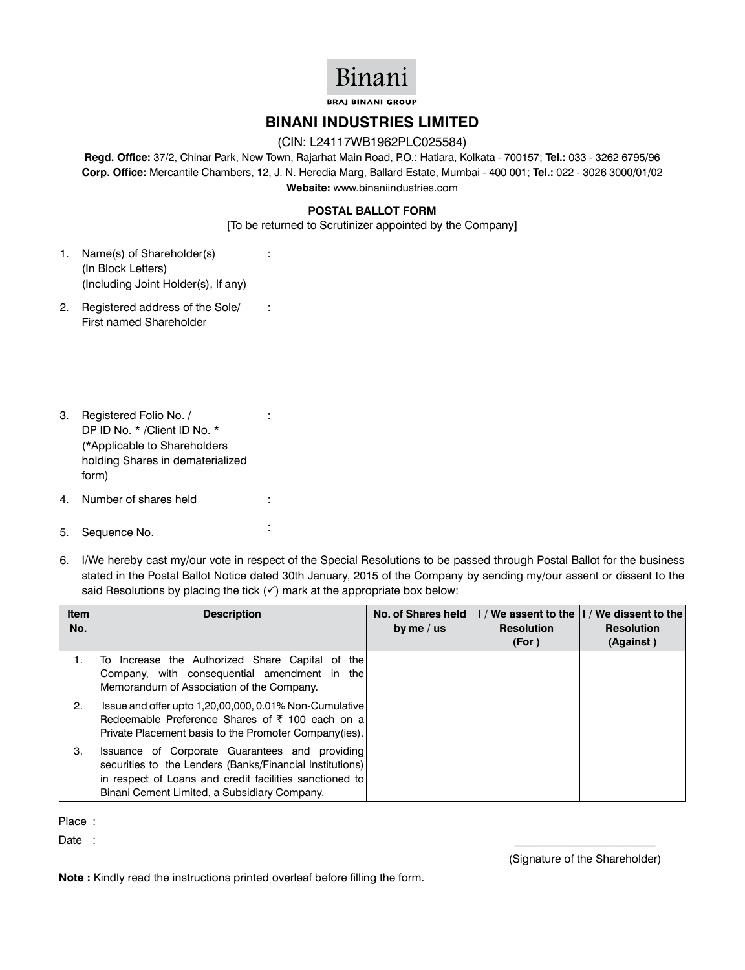## Binani

**BRAJ BINANI GROUP** 

#### **Binani INDUSTRIES Limited**

#### (CIN: L24117WB1962PLC025584)

**Regd. Office:** 37/2, Chinar Park, New Town, Rajarhat Main Road, P.O.: Hatiara, Kolkata - 700157; **Tel.:** 033 - 3262 6795/96 **Corp. Office:** Mercantile Chambers, 12, J. N. Heredia Marg, Ballard Estate, Mumbai - 400 001; **Tel.:** 022 - 3026 3000/01/02 **Website:** www.binaniindustries.com

#### **POSTAL BALLOT FORM**

[To be returned to Scrutinizer appointed by the Company]

:

:

:

- 1. Name(s) of Shareholder(s) (In Block Letters) (Including Joint Holder(s), If any)
- 2. Registered address of the Sole/ First named Shareholder
- 3. Registered Folio No. / DP ID No. \* /Client ID No. \* (\*Applicable to Shareholders holding Shares in dematerialized form)
- 4. Number of shares held :
- 5. Sequence No. :
- 6. I/We hereby cast my/our vote in respect of the Special Resolutions to be passed through Postal Ballot for the business stated in the Postal Ballot Notice dated 30th January, 2015 of the Company by sending my/our assent or dissent to the said Resolutions by placing the tick  $(v)$  mark at the appropriate box below:

| <b>Item</b><br>No. | <b>Description</b>                                                                                                                                                                                                    | No. of Shares held<br>by me $/$ us | <b>Resolution</b><br>(For) | I / We assent to the  I / We dissent to the<br><b>Resolution</b><br>(Against) |
|--------------------|-----------------------------------------------------------------------------------------------------------------------------------------------------------------------------------------------------------------------|------------------------------------|----------------------------|-------------------------------------------------------------------------------|
| 1.                 | To Increase the Authorized Share Capital of the<br>Company, with consequential amendment in the<br>Memorandum of Association of the Company.                                                                          |                                    |                            |                                                                               |
| 2.                 | Issue and offer upto 1,20,00,000, 0.01% Non-Cumulative<br>Redeemable Preference Shares of $\bar{z}$ 100 each on a<br>Private Placement basis to the Promoter Company(ies).                                            |                                    |                            |                                                                               |
| 3.                 | Issuance of Corporate Guarantees and providing<br>securities to the Lenders (Banks/Financial Institutions)<br>in respect of Loans and credit facilities sanctioned to<br>Binani Cement Limited, a Subsidiary Company. |                                    |                            |                                                                               |

Place :

 $\Box$ ate  $\Box$ :

#### (Signature of the Shareholder)

**Note :** Kindly read the instructions printed overleaf before filling the form.